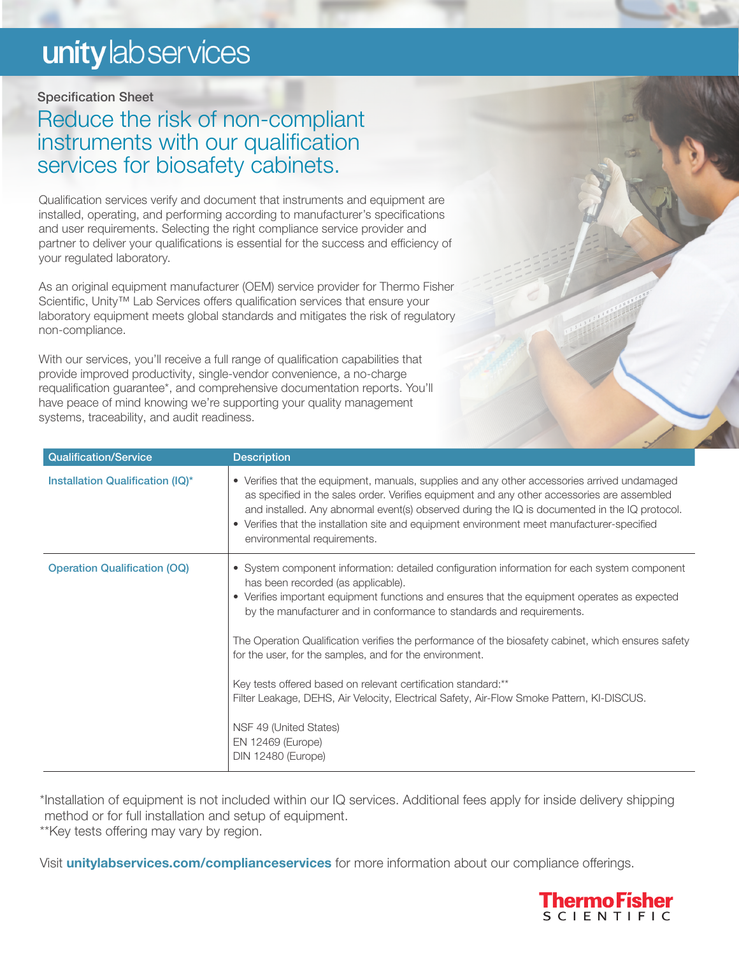# unity lab services

### Specification Sheet

### Reduce the risk of non-compliant instruments with our qualification services for biosafety cabinets.

Qualification services verify and document that instruments and equipment are installed, operating, and performing according to manufacturer's specifications and user requirements. Selecting the right compliance service provider and partner to deliver your qualifications is essential for the success and efficiency of your regulated laboratory.

As an original equipment manufacturer (OEM) service provider for Thermo Fisher Scientific, Unity™ Lab Services offers qualification services that ensure your laboratory equipment meets global standards and mitigates the risk of regulatory non-compliance.

With our services, you'll receive a full range of qualification capabilities that provide improved productivity, single-vendor convenience, a no-charge requalification guarantee\*, and comprehensive documentation reports. You'll have peace of mind knowing we're supporting your quality management systems, traceability, and audit readiness.

| <b>Qualification/Service</b>        | <b>Description</b>                                                                                                                                                                                                                                                                                                                                                                                                                                                                                                                                                                                                                                                                                               |
|-------------------------------------|------------------------------------------------------------------------------------------------------------------------------------------------------------------------------------------------------------------------------------------------------------------------------------------------------------------------------------------------------------------------------------------------------------------------------------------------------------------------------------------------------------------------------------------------------------------------------------------------------------------------------------------------------------------------------------------------------------------|
| Installation Qualification (IQ)*    | • Verifies that the equipment, manuals, supplies and any other accessories arrived undamaged<br>as specified in the sales order. Verifies equipment and any other accessories are assembled<br>and installed. Any abnormal event(s) observed during the IQ is documented in the IQ protocol.<br>• Verifies that the installation site and equipment environment meet manufacturer-specified<br>environmental requirements.                                                                                                                                                                                                                                                                                       |
| <b>Operation Qualification (OQ)</b> | • System component information: detailed configuration information for each system component<br>has been recorded (as applicable).<br>• Verifies important equipment functions and ensures that the equipment operates as expected<br>by the manufacturer and in conformance to standards and requirements.<br>The Operation Qualification verifies the performance of the biosafety cabinet, which ensures safety<br>for the user, for the samples, and for the environment.<br>Key tests offered based on relevant certification standard:**<br>Filter Leakage, DEHS, Air Velocity, Electrical Safety, Air-Flow Smoke Pattern, KI-DISCUS.<br>NSF 49 (United States)<br>EN 12469 (Europe)<br>DIN 12480 (Europe) |

\*Installation of equipment is not included within our IQ services. Additional fees apply for inside delivery shipping method or for full installation and setup of equipment.

\*\*Key tests offering may vary by region.

Visit **unitylabservices.com/complianceservices** for more information about our compliance offerings.